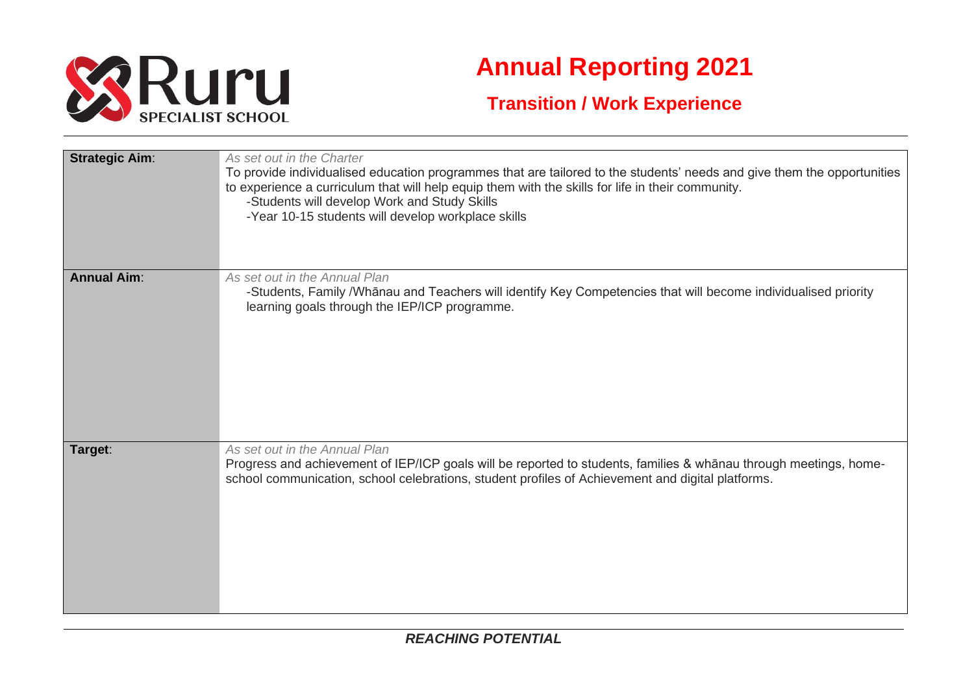

## **Annual Reporting 2021**

## **Transition / Work Experience**

| <b>Strategic Aim:</b> | As set out in the Charter<br>To provide individualised education programmes that are tailored to the students' needs and give them the opportunities<br>to experience a curriculum that will help equip them with the skills for life in their community.<br>-Students will develop Work and Study Skills<br>-Year 10-15 students will develop workplace skills |
|-----------------------|-----------------------------------------------------------------------------------------------------------------------------------------------------------------------------------------------------------------------------------------------------------------------------------------------------------------------------------------------------------------|
| <b>Annual Aim:</b>    | As set out in the Annual Plan<br>-Students, Family /Whānau and Teachers will identify Key Competencies that will become individualised priority<br>learning goals through the IEP/ICP programme.                                                                                                                                                                |
| Target:               | As set out in the Annual Plan<br>Progress and achievement of IEP/ICP goals will be reported to students, families & whanau through meetings, home-<br>school communication, school celebrations, student profiles of Achievement and digital platforms.                                                                                                         |